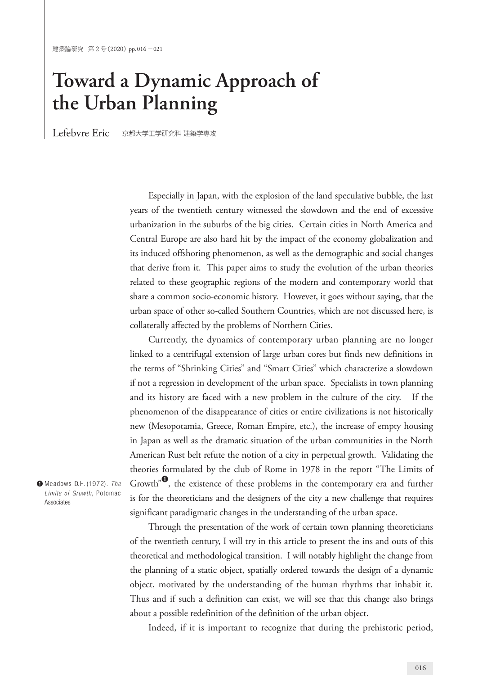## **Toward a Dynamic Approach of the Urban Planning**

Lefebvre Eric 京都大学工学研究科 建築学専攻

Especially in Japan, with the explosion of the land speculative bubble, the last years of the twentieth century witnessed the slowdown and the end of excessive urbanization in the suburbs of the big cities. Certain cities in North America and Central Europe are also hard hit by the impact of the economy globalization and its induced offshoring phenomenon, as well as the demographic and social changes that derive from it. This paper aims to study the evolution of the urban theories related to these geographic regions of the modern and contemporary world that share a common socio-economic history. However, it goes without saying, that the urban space of other so-called Southern Countries, which are not discussed here, is collaterally affected by the problems of Northern Cities.

Currently, the dynamics of contemporary urban planning are no longer linked to a centrifugal extension of large urban cores but finds new definitions in the terms of "Shrinking Cities" and "Smart Cities" which characterize a slowdown if not a regression in development of the urban space. Specialists in town planning and its history are faced with a new problem in the culture of the city. If the phenomenon of the disappearance of cities or entire civilizations is not historically new (Mesopotamia, Greece, Roman Empire, etc.), the increase of empty housing in Japan as well as the dramatic situation of the urban communities in the North American Rust belt refute the notion of a city in perpetual growth. Validating the theories formulated by the club of Rome in 1978 in the report "The Limits of Growth"<sup>0</sup>, the existence of these problems in the contemporary era and further is for the theoreticians and the designers of the city a new challenge that requires significant paradigmatic changes in the understanding of the urban space.

Through the presentation of the work of certain town planning theoreticians of the twentieth century, I will try in this article to present the ins and outs of this theoretical and methodological transition. I will notably highlight the change from the planning of a static object, spatially ordered towards the design of a dynamic object, motivated by the understanding of the human rhythms that inhabit it. Thus and if such a definition can exist, we will see that this change also brings about a possible redefinition of the definition of the urban object.

**❶** Meadows D.H. (1972). *The Limits of Growth*, Potomac Associates

Indeed, if it is important to recognize that during the prehistoric period,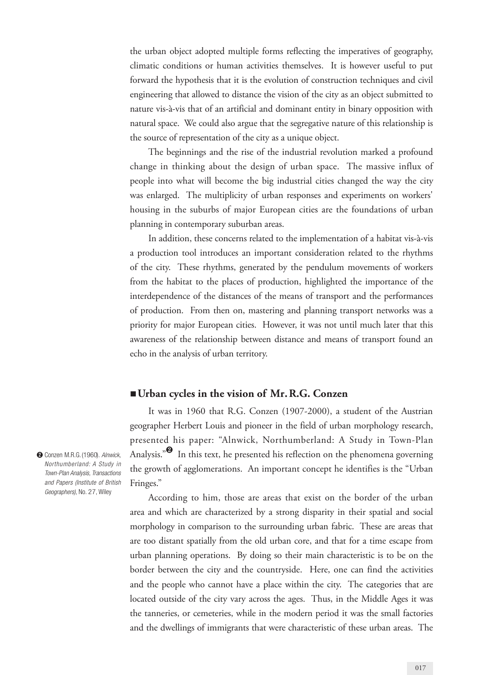the urban object adopted multiple forms reflecting the imperatives of geography, climatic conditions or human activities themselves. It is however useful to put forward the hypothesis that it is the evolution of construction techniques and civil engineering that allowed to distance the vision of the city as an object submitted to nature vis-à-vis that of an artificial and dominant entity in binary opposition with natural space. We could also argue that the segregative nature of this relationship is the source of representation of the city as a unique object.

The beginnings and the rise of the industrial revolution marked a profound change in thinking about the design of urban space. The massive influx of people into what will become the big industrial cities changed the way the city was enlarged. The multiplicity of urban responses and experiments on workers' housing in the suburbs of major European cities are the foundations of urban planning in contemporary suburban areas.

In addition, these concerns related to the implementation of a habitat vis-à-vis a production tool introduces an important consideration related to the rhythms of the city. These rhythms, generated by the pendulum movements of workers from the habitat to the places of production, highlighted the importance of the interdependence of the distances of the means of transport and the performances of production. From then on, mastering and planning transport networks was a priority for major European cities. However, it was not until much later that this awareness of the relationship between distance and means of transport found an echo in the analysis of urban territory.

## ■ Urban cycles in the vision of Mr. R.G. Conzen

It was in 1960 that R.G. Conzen (1907-2000), a student of the Austrian geographer Herbert Louis and pioneer in the field of urban morphology research, presented his paper: "Alnwick, Northumberland: A Study in Town-Plan Analysis."<sup><sup>2</sup> In this text, he presented his reflection on the phenomena governing</sup> the growth of agglomerations. An important concept he identifies is the "Urban Fringes."

According to him, those are areas that exist on the border of the urban area and which are characterized by a strong disparity in their spatial and social morphology in comparison to the surrounding urban fabric. These are areas that are too distant spatially from the old urban core, and that for a time escape from urban planning operations. By doing so their main characteristic is to be on the border between the city and the countryside. Here, one can find the activities and the people who cannot have a place within the city. The categories that are located outside of the city vary across the ages. Thus, in the Middle Ages it was the tanneries, or cemeteries, while in the modern period it was the small factories and the dwellings of immigrants that were characteristic of these urban areas. The

**❷** Conzen M.R.G.(1960). *Alnwick, Northumberland: A Study in Town-Plan Analysis, Transactions and Papers (Institute of British Geographers)*, No. 27, Wiley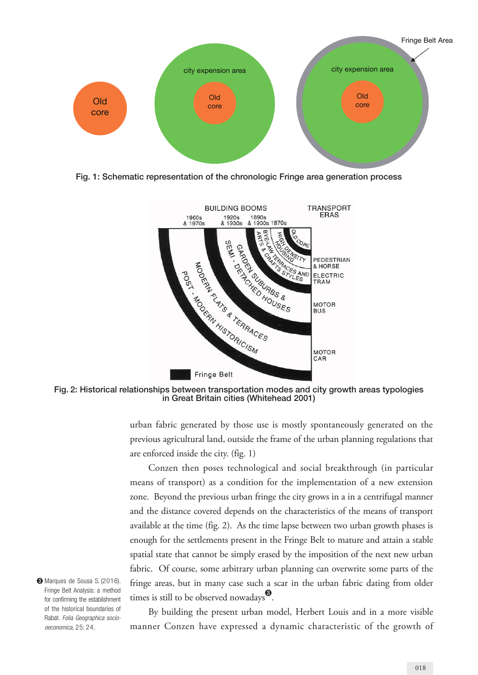

Fig. 1: Schematic representation of the chronologic Fringe area generation process



Fig. 2: Historical relationships between transportation modes and city growth areas typologies in Great Britain cities (Whitehead 2001)

urban fabric generated by those use is mostly spontaneously generated on the previous agricultural land, outside the frame of the urban planning regulations that are enforced inside the city. (fig. 1)

Conzen then poses technological and social breakthrough (in particular means of transport) as a condition for the implementation of a new extension zone. Beyond the previous urban fringe the city grows in a in a centrifugal manner and the distance covered depends on the characteristics of the means of transport available at the time (fig. 2). As the time lapse between two urban growth phases is enough for the settlements present in the Fringe Belt to mature and attain a stable spatial state that cannot be simply erased by the imposition of the next new urban fabric. Of course, some arbitrary urban planning can overwrite some parts of the fringe areas, but in many case such a scar in the urban fabric dating from older times is still to be observed nowadays<sup>9</sup>.

**❸** Marques de Sousa S. (2016). Fringe Belt Analysis: a method for confirming the establishment of the historical boundaries of Rabat. *Folia Geographica sociooeconomica*, 25: 24.

By building the present urban model, Herbert Louis and in a more visible manner Conzen have expressed a dynamic characteristic of the growth of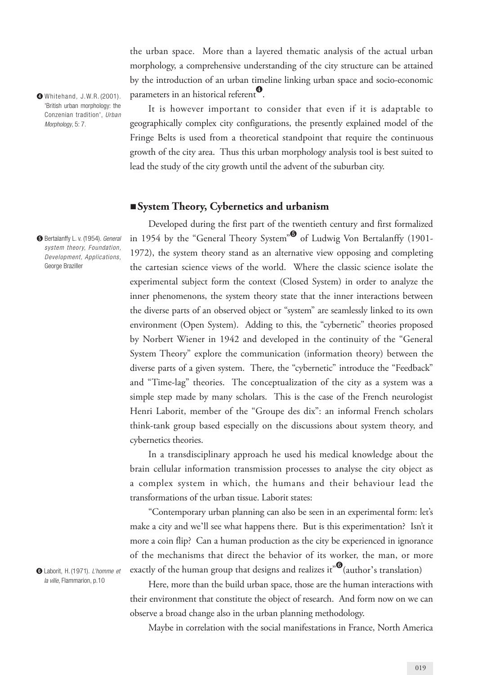the urban space. More than a layered thematic analysis of the actual urban morphology, a comprehensive understanding of the city structure can be attained by the introduction of an urban timeline linking urban space and socio-economic parameters in an historical referent<sup>0</sup>.

**❹** Whitehand, J.W.R. (2001). 'British urban morphology: the Conzenian tradition', *Urban Morphology*, 5: 7.

**❺** Bertalanffy L. v. (1954). *General system theory, Foundation, Development, Applications*, George Braziller

It is however important to consider that even if it is adaptable to geographically complex city configurations, the presently explained model of the Fringe Belts is used from a theoretical standpoint that require the continuous growth of the city area. Thus this urban morphology analysis tool is best suited to lead the study of the city growth until the advent of the suburban city.

## ■**System Theory, Cybernetics and urbanism**

Developed during the first part of the twentieth century and first formalized in 1954 by the "General Theory System" $\bullet$  of Ludwig Von Bertalanffy (1901-1972), the system theory stand as an alternative view opposing and completing the cartesian science views of the world. Where the classic science isolate the experimental subject form the context (Closed System) in order to analyze the inner phenomenons, the system theory state that the inner interactions between the diverse parts of an observed object or "system" are seamlessly linked to its own environment (Open System). Adding to this, the "cybernetic" theories proposed by Norbert Wiener in 1942 and developed in the continuity of the "General System Theory" explore the communication (information theory) between the diverse parts of a given system. There, the "cybernetic" introduce the "Feedback" and "Time-lag" theories. The conceptualization of the city as a system was a simple step made by many scholars. This is the case of the French neurologist Henri Laborit, member of the "Groupe des dix": an informal French scholars think-tank group based especially on the discussions about system theory, and cybernetics theories.

In a transdisciplinary approach he used his medical knowledge about the brain cellular information transmission processes to analyse the city object as a complex system in which, the humans and their behaviour lead the transformations of the urban tissue. Laborit states:

"Contemporary urban planning can also be seen in an experimental form: let's make a city and we'll see what happens there. But is this experimentation? Isn't it more a coin flip? Can a human production as the city be experienced in ignorance of the mechanisms that direct the behavior of its worker, the man, or more exactly of the human group that designs and realizes it" $\mathbf{Q}$ (author's translation)

Here, more than the build urban space, those are the human interactions with their environment that constitute the object of research. And form now on we can observe a broad change also in the urban planning methodology.

Maybe in correlation with the social manifestations in France, North America

**❻** Laborit, H. (1971). *L'homme et la ville*, Flammarion, p.10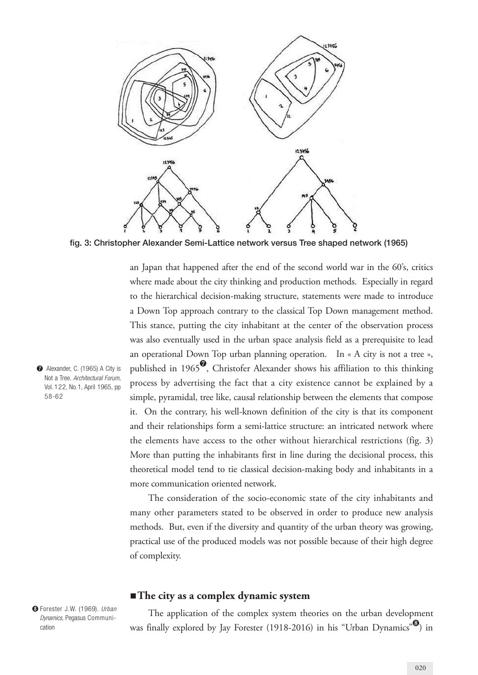

fig. 3: Christopher Alexander Semi-Lattice network versus Tree shaped network (1965)

an Japan that happened after the end of the second world war in the 60's, critics where made about the city thinking and production methods. Especially in regard to the hierarchical decision-making structure, statements were made to introduce a Down Top approach contrary to the classical Top Down management method. This stance, putting the city inhabitant at the center of the observation process was also eventually used in the urban space analysis field as a prerequisite to lead an operational Down Top urban planning operation. In « A city is not a tree », published in 1965 $\degree$ , Christofer Alexander shows his affiliation to this thinking process by advertising the fact that a city existence cannot be explained by a simple, pyramidal, tree like, causal relationship between the elements that compose it. On the contrary, his well-known definition of the city is that its component and their relationships form a semi-lattice structure: an intricated network where the elements have access to the other without hierarchical restrictions (fig. 3) More than putting the inhabitants first in line during the decisional process, this theoretical model tend to tie classical decision-making body and inhabitants in a more communication oriented network.

The consideration of the socio-economic state of the city inhabitants and many other parameters stated to be observed in order to produce new analysis methods. But, even if the diversity and quantity of the urban theory was growing, practical use of the produced models was not possible because of their high degree of complexity.

## ■ **The city as a complex dynamic system**

**❽** Forester J.W. (1969). *Urban Dynamics*, Pegasus Communication

The application of the complex system theories on the urban development was finally explored by Jay Forester (1918-2016) in his "Urban Dynamics" $\mathbf{v}$ ) in

**❼**  Alexander, C. (1965) A City is Not a Tree. *Architectural Forum*, Vol. 122, No.1, April 1965, pp 58-62